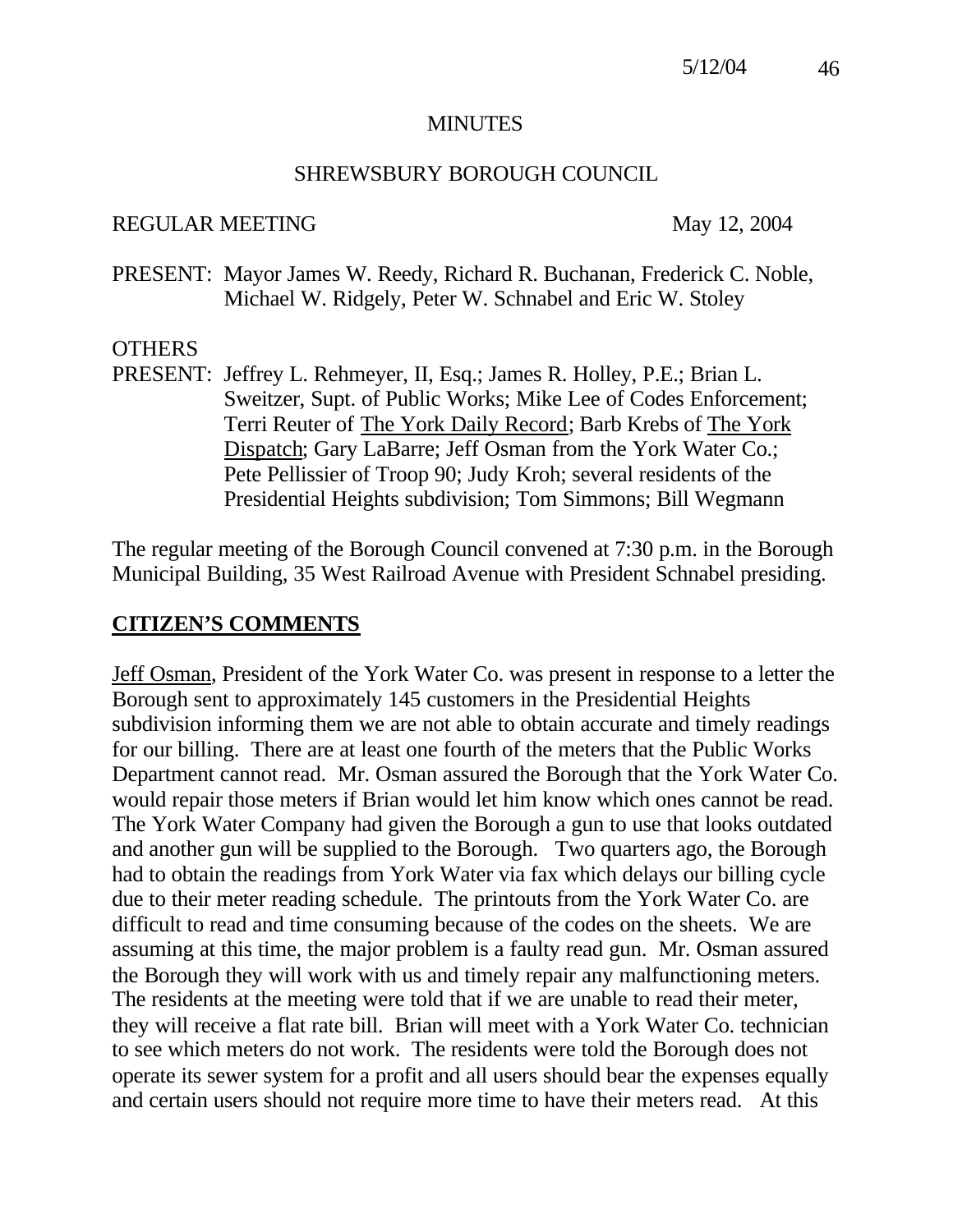#### MINUTES

#### SHREWSBURY BOROUGH COUNCIL

#### REGULAR MEETING May 12, 2004

PRESENT: Mayor James W. Reedy, Richard R. Buchanan, Frederick C. Noble, Michael W. Ridgely, Peter W. Schnabel and Eric W. Stoley

#### **OTHERS**

PRESENT: Jeffrey L. Rehmeyer, II, Esq.; James R. Holley, P.E.; Brian L. Sweitzer, Supt. of Public Works; Mike Lee of Codes Enforcement; Terri Reuter of The York Daily Record; Barb Krebs of The York Dispatch; Gary LaBarre; Jeff Osman from the York Water Co.; Pete Pellissier of Troop 90; Judy Kroh; several residents of the Presidential Heights subdivision; Tom Simmons; Bill Wegmann

The regular meeting of the Borough Council convened at 7:30 p.m. in the Borough Municipal Building, 35 West Railroad Avenue with President Schnabel presiding.

## **CITIZEN'S COMMENTS**

Jeff Osman, President of the York Water Co. was present in response to a letter the Borough sent to approximately 145 customers in the Presidential Heights subdivision informing them we are not able to obtain accurate and timely readings for our billing. There are at least one fourth of the meters that the Public Works Department cannot read. Mr. Osman assured the Borough that the York Water Co. would repair those meters if Brian would let him know which ones cannot be read. The York Water Company had given the Borough a gun to use that looks outdated and another gun will be supplied to the Borough. Two quarters ago, the Borough had to obtain the readings from York Water via fax which delays our billing cycle due to their meter reading schedule. The printouts from the York Water Co. are difficult to read and time consuming because of the codes on the sheets. We are assuming at this time, the major problem is a faulty read gun. Mr. Osman assured the Borough they will work with us and timely repair any malfunctioning meters. The residents at the meeting were told that if we are unable to read their meter, they will receive a flat rate bill. Brian will meet with a York Water Co. technician to see which meters do not work. The residents were told the Borough does not operate its sewer system for a profit and all users should bear the expenses equally and certain users should not require more time to have their meters read. At this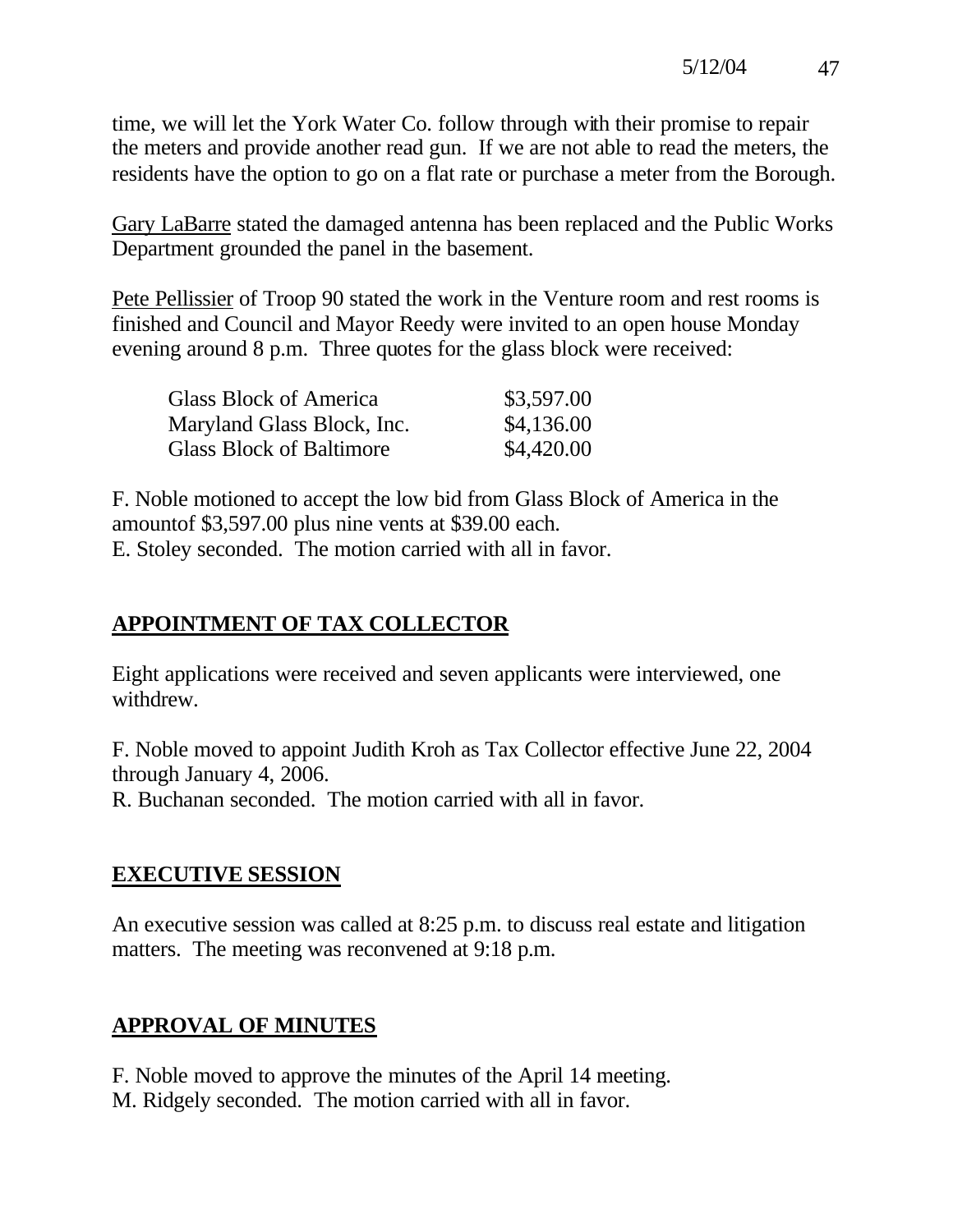time, we will let the York Water Co. follow through with their promise to repair the meters and provide another read gun. If we are not able to read the meters, the residents have the option to go on a flat rate or purchase a meter from the Borough.

Gary LaBarre stated the damaged antenna has been replaced and the Public Works Department grounded the panel in the basement.

Pete Pellissier of Troop 90 stated the work in the Venture room and rest rooms is finished and Council and Mayor Reedy were invited to an open house Monday evening around 8 p.m. Three quotes for the glass block were received:

| Glass Block of America          | \$3,597.00 |
|---------------------------------|------------|
| Maryland Glass Block, Inc.      | \$4,136.00 |
| <b>Glass Block of Baltimore</b> | \$4,420.00 |

F. Noble motioned to accept the low bid from Glass Block of America in the amountof \$3,597.00 plus nine vents at \$39.00 each. E. Stoley seconded. The motion carried with all in favor.

# **APPOINTMENT OF TAX COLLECTOR**

Eight applications were received and seven applicants were interviewed, one withdrew.

F. Noble moved to appoint Judith Kroh as Tax Collector effective June 22, 2004 through January 4, 2006.

R. Buchanan seconded. The motion carried with all in favor.

# **EXECUTIVE SESSION**

An executive session was called at 8:25 p.m. to discuss real estate and litigation matters. The meeting was reconvened at 9:18 p.m.

# **APPROVAL OF MINUTES**

F. Noble moved to approve the minutes of the April 14 meeting. M. Ridgely seconded. The motion carried with all in favor.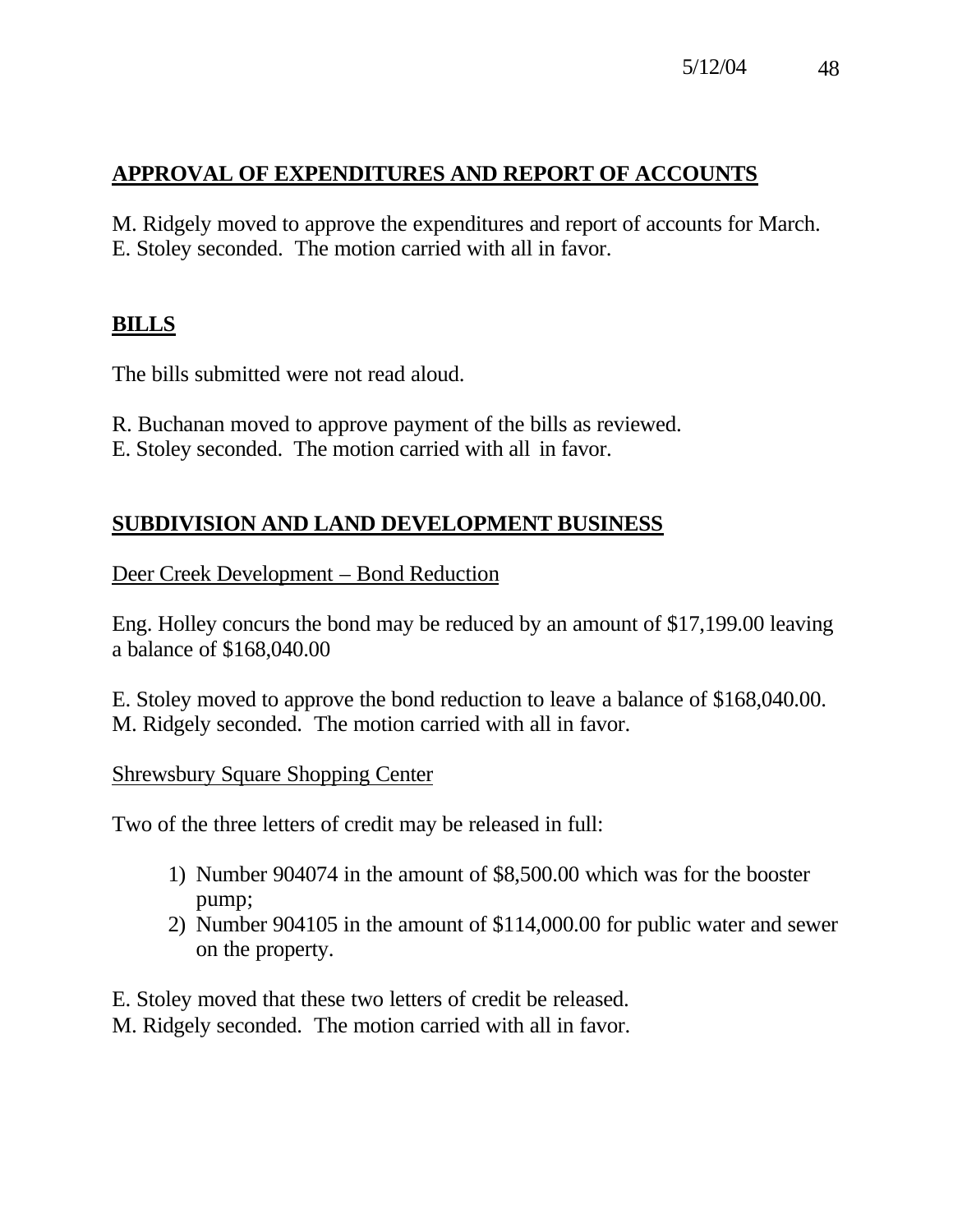# **APPROVAL OF EXPENDITURES AND REPORT OF ACCOUNTS**

M. Ridgely moved to approve the expenditures and report of accounts for March. E. Stoley seconded. The motion carried with all in favor.

# **BILLS**

The bills submitted were not read aloud.

- R. Buchanan moved to approve payment of the bills as reviewed.
- E. Stoley seconded. The motion carried with all in favor.

## **SUBDIVISION AND LAND DEVELOPMENT BUSINESS**

Deer Creek Development – Bond Reduction

Eng. Holley concurs the bond may be reduced by an amount of \$17,199.00 leaving a balance of \$168,040.00

E. Stoley moved to approve the bond reduction to leave a balance of \$168,040.00. M. Ridgely seconded. The motion carried with all in favor.

#### Shrewsbury Square Shopping Center

Two of the three letters of credit may be released in full:

- 1) Number 904074 in the amount of \$8,500.00 which was for the booster pump;
- 2) Number 904105 in the amount of \$114,000.00 for public water and sewer on the property.

E. Stoley moved that these two letters of credit be released.

M. Ridgely seconded. The motion carried with all in favor.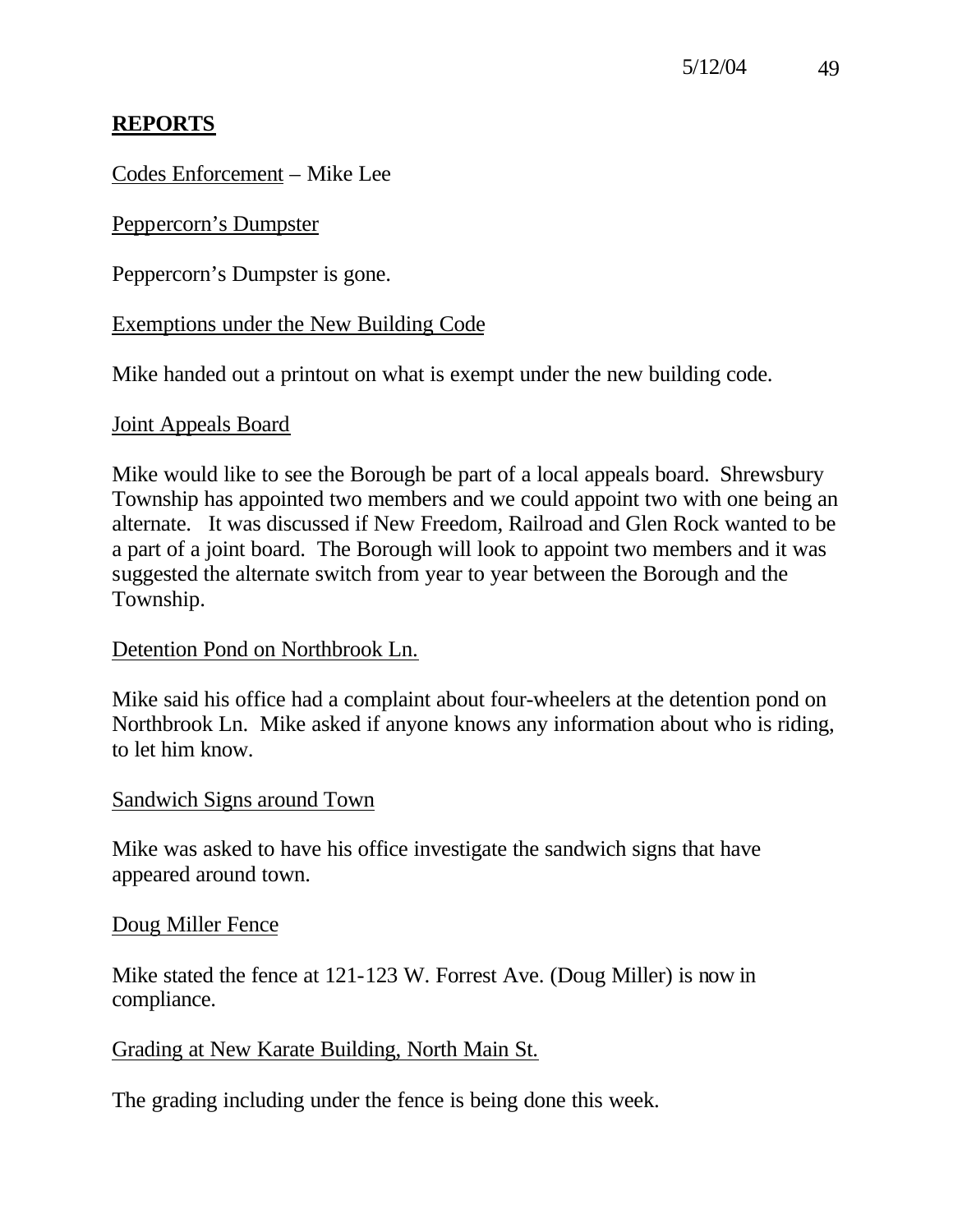# **REPORTS**

Codes Enforcement – Mike Lee

Peppercorn's Dumpster

Peppercorn's Dumpster is gone.

## Exemptions under the New Building Code

Mike handed out a printout on what is exempt under the new building code.

### Joint Appeals Board

Mike would like to see the Borough be part of a local appeals board. Shrewsbury Township has appointed two members and we could appoint two with one being an alternate. It was discussed if New Freedom, Railroad and Glen Rock wanted to be a part of a joint board. The Borough will look to appoint two members and it was suggested the alternate switch from year to year between the Borough and the Township.

## Detention Pond on Northbrook Ln.

Mike said his office had a complaint about four-wheelers at the detention pond on Northbrook Ln. Mike asked if anyone knows any information about who is riding, to let him know.

## Sandwich Signs around Town

Mike was asked to have his office investigate the sandwich signs that have appeared around town.

## Doug Miller Fence

Mike stated the fence at 121-123 W. Forrest Ave. (Doug Miller) is now in compliance.

## Grading at New Karate Building, North Main St.

The grading including under the fence is being done this week.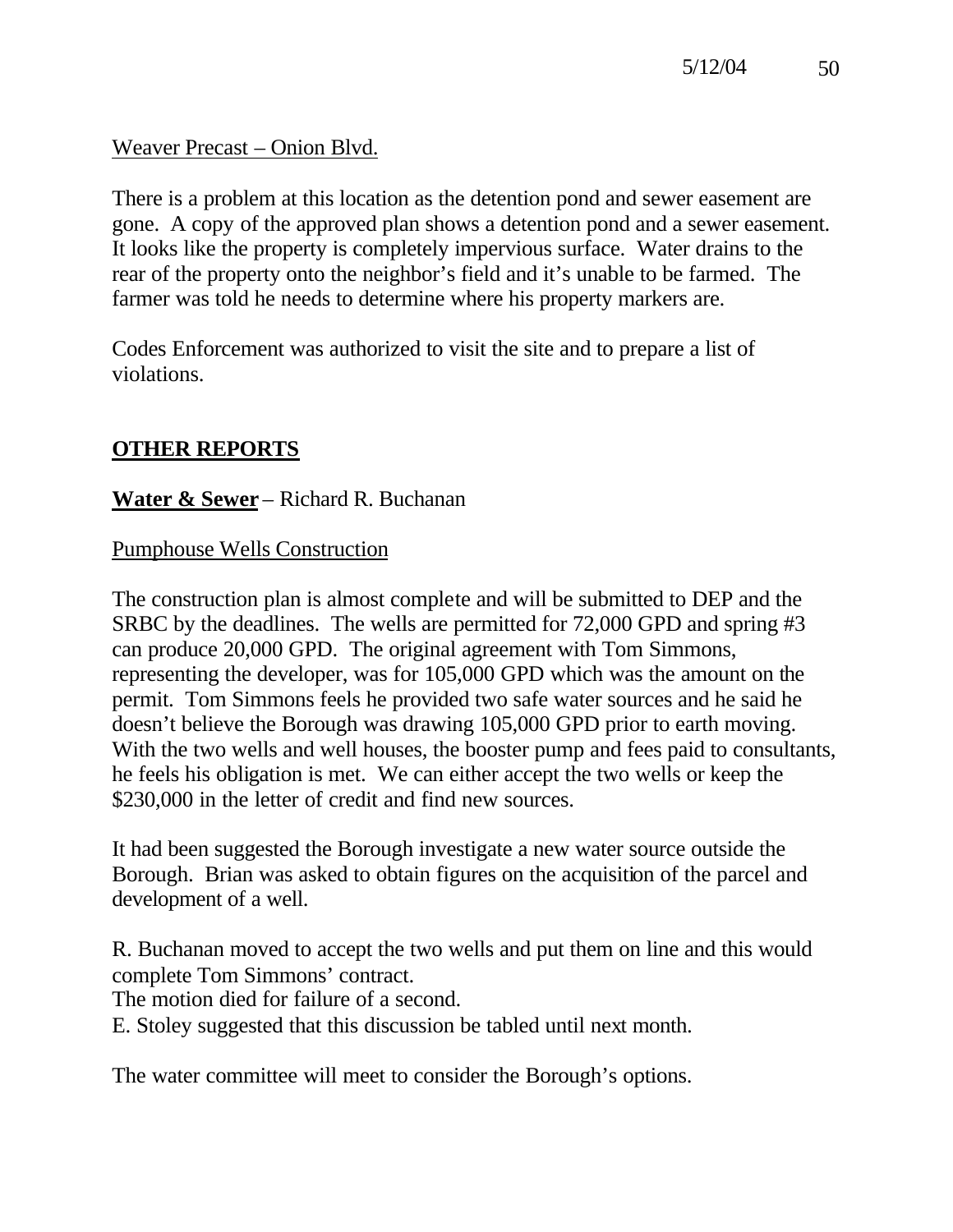Weaver Precast – Onion Blvd.

There is a problem at this location as the detention pond and sewer easement are gone. A copy of the approved plan shows a detention pond and a sewer easement. It looks like the property is completely impervious surface. Water drains to the rear of the property onto the neighbor's field and it's unable to be farmed. The farmer was told he needs to determine where his property markers are.

Codes Enforcement was authorized to visit the site and to prepare a list of violations.

# **OTHER REPORTS**

# **Water & Sewer** – Richard R. Buchanan

## Pumphouse Wells Construction

The construction plan is almost complete and will be submitted to DEP and the SRBC by the deadlines. The wells are permitted for 72,000 GPD and spring #3 can produce 20,000 GPD. The original agreement with Tom Simmons, representing the developer, was for 105,000 GPD which was the amount on the permit. Tom Simmons feels he provided two safe water sources and he said he doesn't believe the Borough was drawing 105,000 GPD prior to earth moving. With the two wells and well houses, the booster pump and fees paid to consultants, he feels his obligation is met. We can either accept the two wells or keep the \$230,000 in the letter of credit and find new sources.

It had been suggested the Borough investigate a new water source outside the Borough. Brian was asked to obtain figures on the acquisition of the parcel and development of a well.

R. Buchanan moved to accept the two wells and put them on line and this would complete Tom Simmons' contract.

The motion died for failure of a second.

E. Stoley suggested that this discussion be tabled until next month.

The water committee will meet to consider the Borough's options.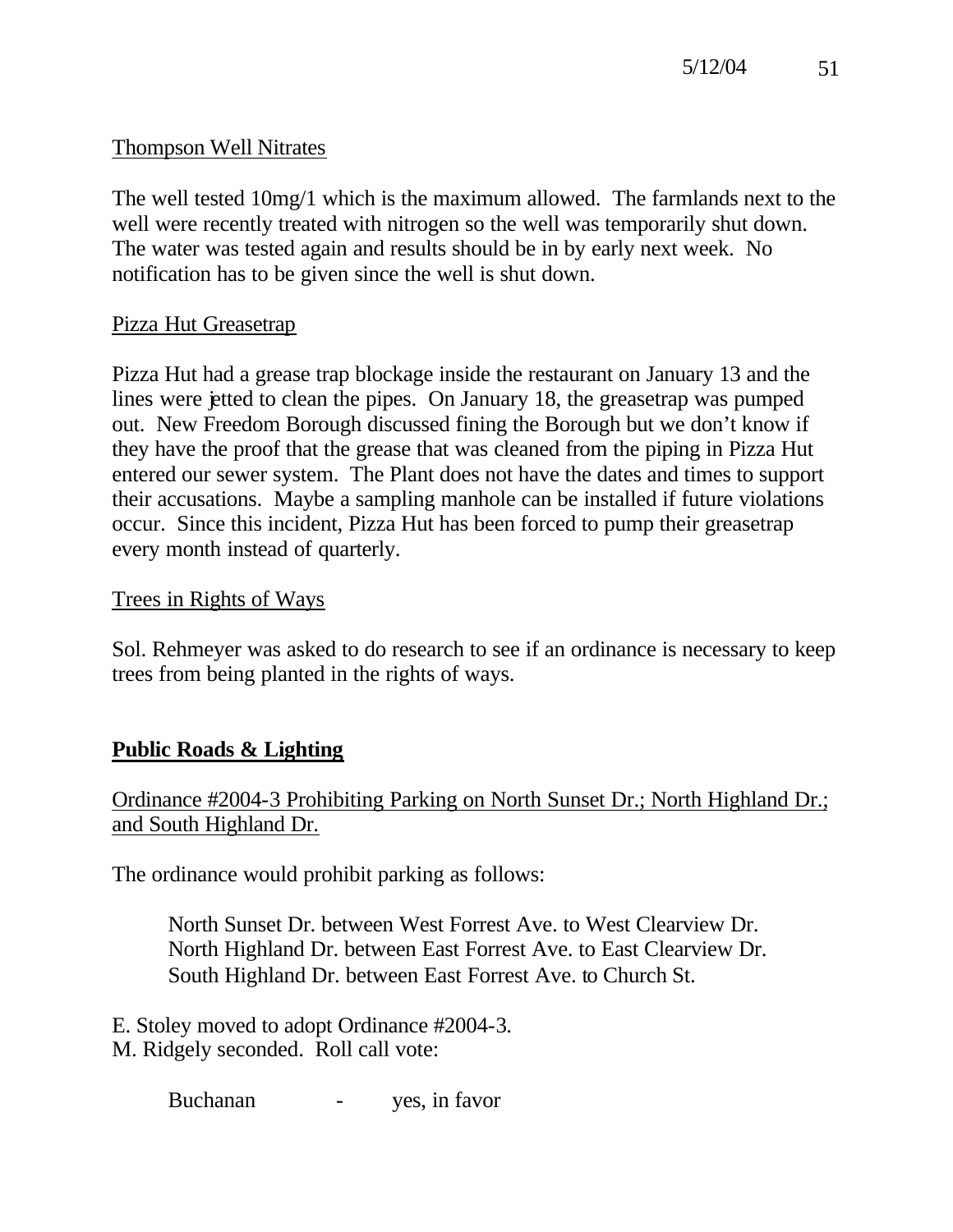# Thompson Well Nitrates

The well tested 10mg/1 which is the maximum allowed. The farmlands next to the well were recently treated with nitrogen so the well was temporarily shut down. The water was tested again and results should be in by early next week. No notification has to be given since the well is shut down.

# Pizza Hut Greasetrap

Pizza Hut had a grease trap blockage inside the restaurant on January 13 and the lines were jetted to clean the pipes. On January 18, the greasetrap was pumped out. New Freedom Borough discussed fining the Borough but we don't know if they have the proof that the grease that was cleaned from the piping in Pizza Hut entered our sewer system. The Plant does not have the dates and times to support their accusations. Maybe a sampling manhole can be installed if future violations occur. Since this incident, Pizza Hut has been forced to pump their greasetrap every month instead of quarterly.

## Trees in Rights of Ways

Sol. Rehmeyer was asked to do research to see if an ordinance is necessary to keep trees from being planted in the rights of ways.

# **Public Roads & Lighting**

## Ordinance #2004-3 Prohibiting Parking on North Sunset Dr.; North Highland Dr.; and South Highland Dr.

The ordinance would prohibit parking as follows:

North Sunset Dr. between West Forrest Ave. to West Clearview Dr. North Highland Dr. between East Forrest Ave. to East Clearview Dr. South Highland Dr. between East Forrest Ave. to Church St.

E. Stoley moved to adopt Ordinance #2004-3. M. Ridgely seconded. Roll call vote:

Buchanan - yes, in favor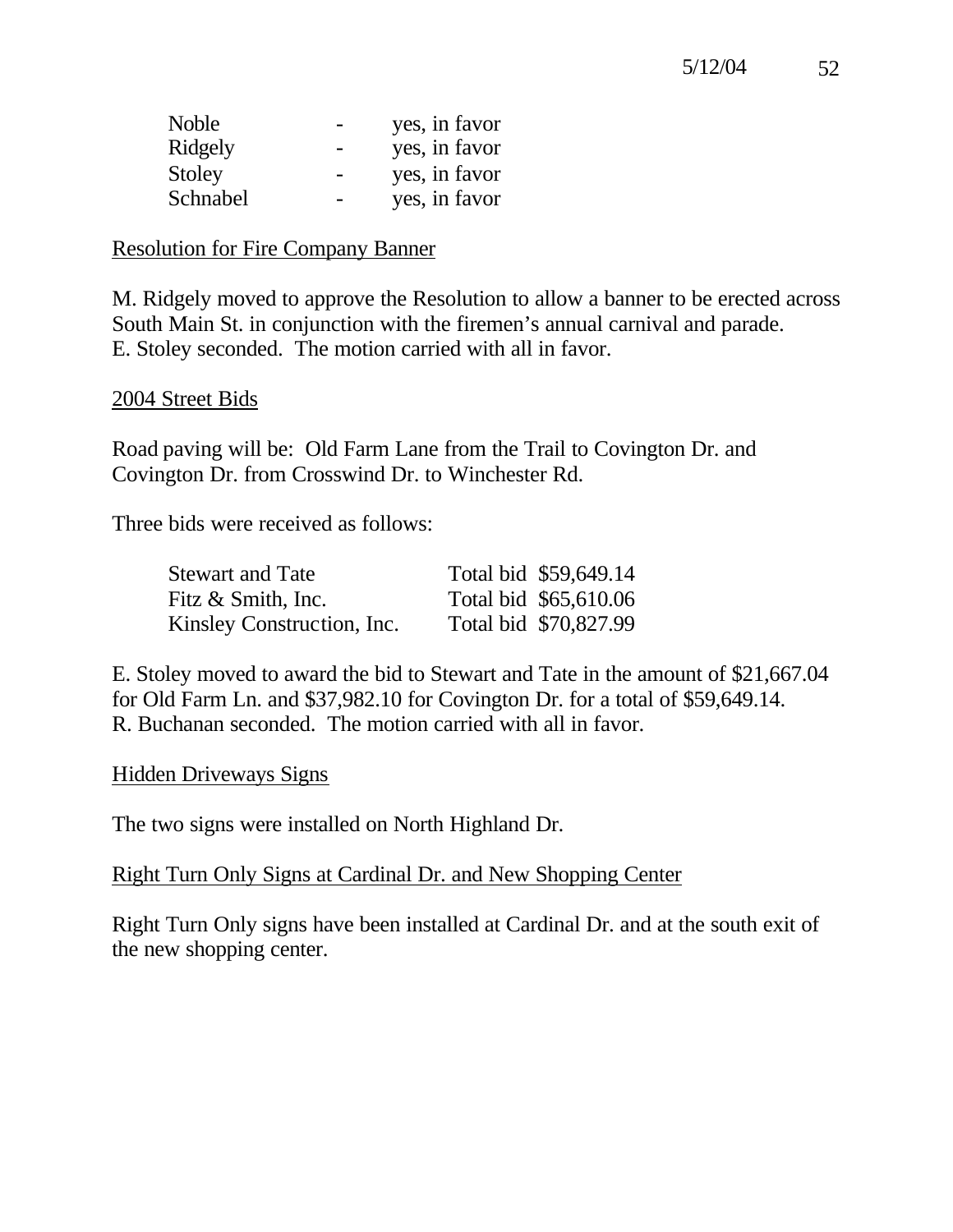| <b>Noble</b> | yes, in favor |
|--------------|---------------|
| Ridgely      | yes, in favor |
| Stoley       | yes, in favor |
| Schnabel     | yes, in favor |

#### Resolution for Fire Company Banner

M. Ridgely moved to approve the Resolution to allow a banner to be erected across South Main St. in conjunction with the firemen's annual carnival and parade. E. Stoley seconded. The motion carried with all in favor.

### 2004 Street Bids

Road paving will be: Old Farm Lane from the Trail to Covington Dr. and Covington Dr. from Crosswind Dr. to Winchester Rd.

Three bids were received as follows:

| <b>Stewart and Tate</b>    | Total bid \$59,649.14 |
|----------------------------|-----------------------|
| Fitz & Smith, Inc.         | Total bid \$65,610.06 |
| Kinsley Construction, Inc. | Total bid \$70,827.99 |

E. Stoley moved to award the bid to Stewart and Tate in the amount of \$21,667.04 for Old Farm Ln. and \$37,982.10 for Covington Dr. for a total of \$59,649.14. R. Buchanan seconded. The motion carried with all in favor.

#### Hidden Driveways Signs

The two signs were installed on North Highland Dr.

## Right Turn Only Signs at Cardinal Dr. and New Shopping Center

Right Turn Only signs have been installed at Cardinal Dr. and at the south exit of the new shopping center.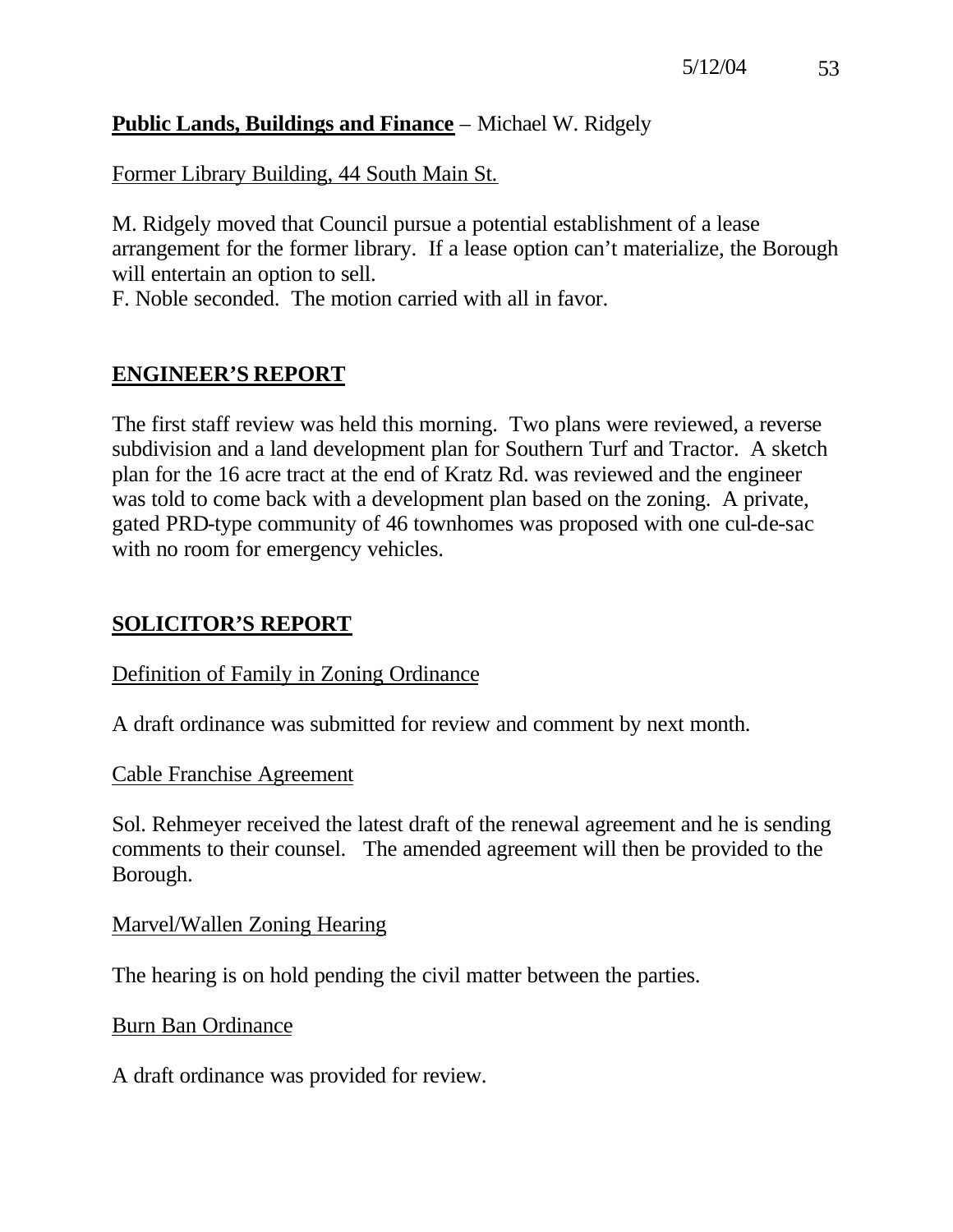# **Public Lands, Buildings and Finance** – Michael W. Ridgely

Former Library Building, 44 South Main St.

M. Ridgely moved that Council pursue a potential establishment of a lease arrangement for the former library. If a lease option can't materialize, the Borough will entertain an option to sell.

F. Noble seconded. The motion carried with all in favor.

# **ENGINEER'S REPORT**

The first staff review was held this morning. Two plans were reviewed, a reverse subdivision and a land development plan for Southern Turf and Tractor. A sketch plan for the 16 acre tract at the end of Kratz Rd. was reviewed and the engineer was told to come back with a development plan based on the zoning. A private, gated PRD-type community of 46 townhomes was proposed with one cul-de-sac with no room for emergency vehicles.

# **SOLICITOR'S REPORT**

## Definition of Family in Zoning Ordinance

A draft ordinance was submitted for review and comment by next month.

## Cable Franchise Agreement

Sol. Rehmeyer received the latest draft of the renewal agreement and he is sending comments to their counsel. The amended agreement will then be provided to the Borough.

## Marvel/Wallen Zoning Hearing

The hearing is on hold pending the civil matter between the parties.

## Burn Ban Ordinance

A draft ordinance was provided for review.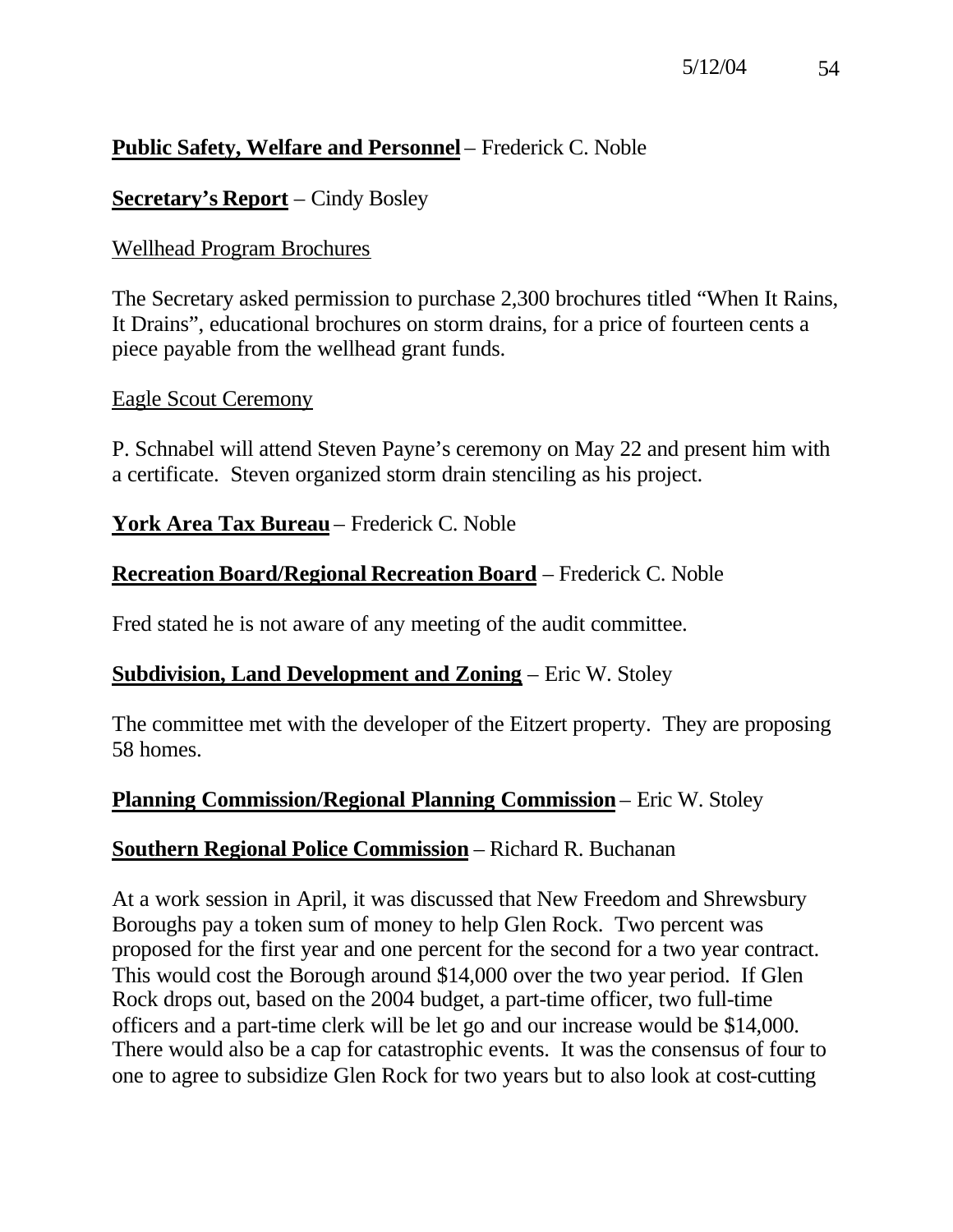# **Public Safety, Welfare and Personnel** – Frederick C. Noble

## **Secretary's Report** – Cindy Bosley

## Wellhead Program Brochures

The Secretary asked permission to purchase 2,300 brochures titled "When It Rains, It Drains", educational brochures on storm drains, for a price of fourteen cents a piece payable from the wellhead grant funds.

## Eagle Scout Ceremony

P. Schnabel will attend Steven Payne's ceremony on May 22 and present him with a certificate. Steven organized storm drain stenciling as his project.

## **York Area Tax Bureau** – Frederick C. Noble

## **Recreation Board/Regional Recreation Board** – Frederick C. Noble

Fred stated he is not aware of any meeting of the audit committee.

## **Subdivision, Land Development and Zoning** – Eric W. Stoley

The committee met with the developer of the Eitzert property. They are proposing 58 homes.

## **Planning Commission/Regional Planning Commission** – Eric W. Stoley

## **Southern Regional Police Commission** – Richard R. Buchanan

At a work session in April, it was discussed that New Freedom and Shrewsbury Boroughs pay a token sum of money to help Glen Rock. Two percent was proposed for the first year and one percent for the second for a two year contract. This would cost the Borough around \$14,000 over the two year period. If Glen Rock drops out, based on the 2004 budget, a part-time officer, two full-time officers and a part-time clerk will be let go and our increase would be \$14,000. There would also be a cap for catastrophic events. It was the consensus of four to one to agree to subsidize Glen Rock for two years but to also look at cost-cutting